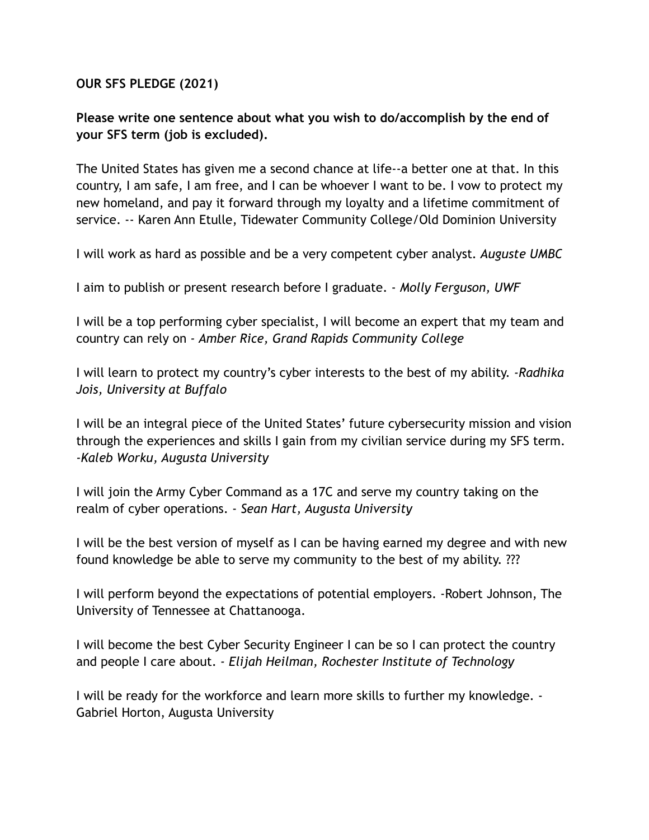**OUR SFS PLEDGE (2021)**

**Please write one sentence about what you wish to do/accomplish by the end of your SFS term (job is excluded).**

The United States has given me a second chance at life--a better one at that. In this country, I am safe, I am free, and I can be whoever I want to be. I vow to protect my new homeland, and pay it forward through my loyalty and a lifetime commitment of service. -- Karen Ann Etulle, Tidewater Community College/Old Dominion University

I will work as hard as possible and be a very competent cyber analyst*. Auguste UMBC*

I aim to publish or present research before I graduate. - *Molly Ferguson, UWF*

I will be a top performing cyber specialist, I will become an expert that my team and country can rely on *- Amber Rice, Grand Rapids Community College*

I will learn to protect my country's cyber interests to the best of my ability. *-Radhika Jois, University at Buffalo*

I will be an integral piece of the United States' future cybersecurity mission and vision through the experiences and skills I gain from my civilian service during my SFS term. *-Kaleb Worku, Augusta University*

I will join the Army Cyber Command as a 17C and serve my country taking on the realm of cyber operations. - *Sean Hart, Augusta University*

I will be the best version of myself as I can be having earned my degree and with new found knowledge be able to serve my community to the best of my ability. ???

I will perform beyond the expectations of potential employers. -Robert Johnson, The University of Tennessee at Chattanooga.

I will become the best Cyber Security Engineer I can be so I can protect the country and people I care about. *- Elijah Heilman, Rochester Institute of Technology*

I will be ready for the workforce and learn more skills to further my knowledge. - Gabriel Horton, Augusta University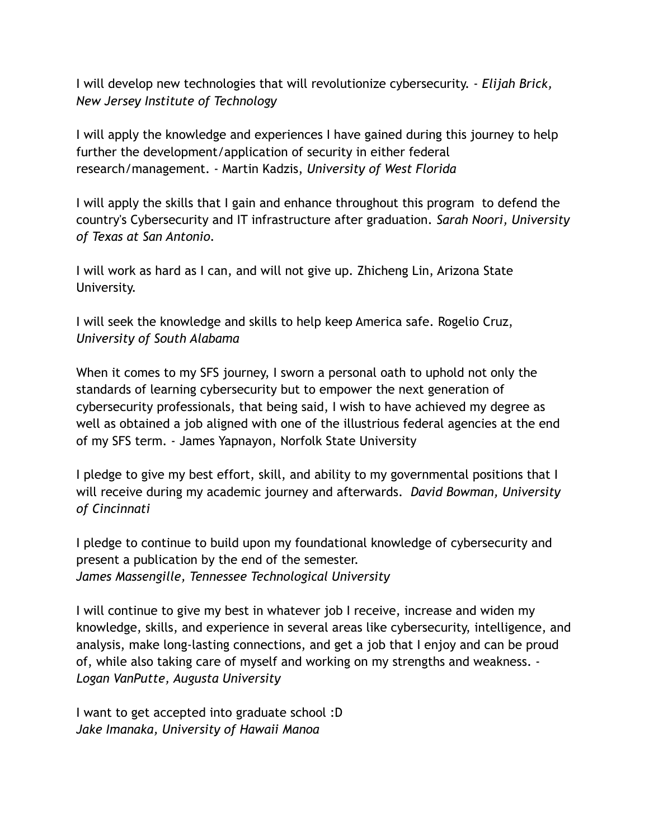I will develop new technologies that will revolutionize cybersecurity. - *Elijah Brick, New Jersey Institute of Technology*

I will apply the knowledge and experiences I have gained during this journey to help further the development/application of security in either federal research/management. - Martin Kadzis, *University of West Florida*

I will apply the skills that I gain and enhance throughout this program to defend the country's Cybersecurity and IT infrastructure after graduation. *Sarah Noori, University of Texas at San Antonio.*

I will work as hard as I can, and will not give up. Zhicheng Lin, Arizona State University.

I will seek the knowledge and skills to help keep America safe. Rogelio Cruz, *University of South Alabama*

When it comes to my SFS journey, I sworn a personal oath to uphold not only the standards of learning cybersecurity but to empower the next generation of cybersecurity professionals, that being said, I wish to have achieved my degree as well as obtained a job aligned with one of the illustrious federal agencies at the end of my SFS term. - James Yapnayon, Norfolk State University

I pledge to give my best effort, skill, and ability to my governmental positions that I will receive during my academic journey and afterwards. *David Bowman, University of Cincinnati*

I pledge to continue to build upon my foundational knowledge of cybersecurity and present a publication by the end of the semester. *James Massengille, Tennessee Technological University*

I will continue to give my best in whatever job I receive, increase and widen my knowledge, skills, and experience in several areas like cybersecurity, intelligence, and analysis, make long-lasting connections, and get a job that I enjoy and can be proud of, while also taking care of myself and working on my strengths and weakness. - *Logan VanPutte, Augusta University*

I want to get accepted into graduate school :D *Jake Imanaka, University of Hawaii Manoa*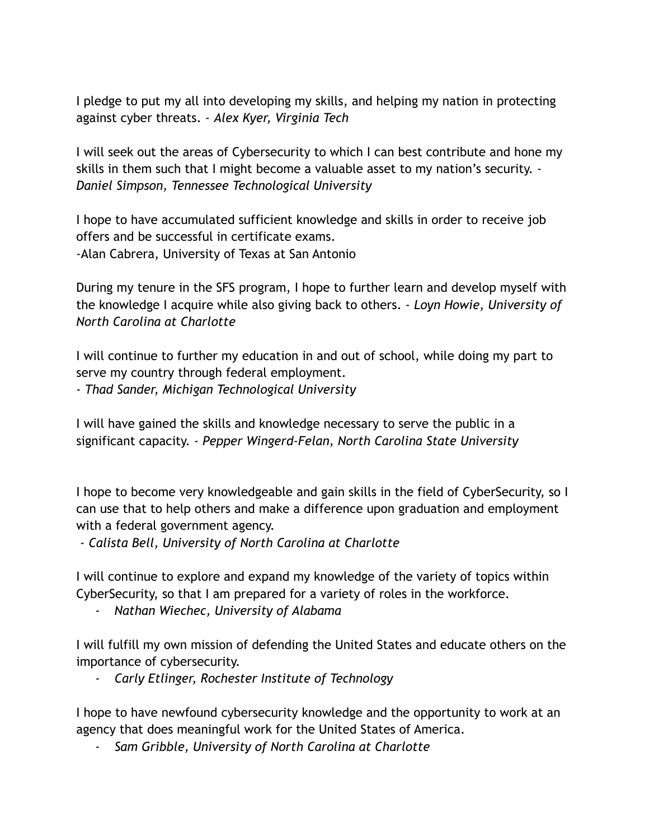I pledge to put my all into developing my skills, and helping my nation in protecting against cyber threats. - *Alex Kyer, Virginia Tech*

I will seek out the areas of Cybersecurity to which I can best contribute and hone my skills in them such that I might become a valuable asset to my nation's security. - *Daniel Simpson, Tennessee Technological University*

I hope to have accumulated sufficient knowledge and skills in order to receive job offers and be successful in certificate exams. -Alan Cabrera, University of Texas at San Antonio

During my tenure in the SFS program, I hope to further learn and develop myself with the knowledge I acquire while also giving back to others. - *Loyn Howie, University of North Carolina at Charlotte*

I will continue to further my education in and out of school, while doing my part to serve my country through federal employment.

- *Thad Sander, Michigan Technological University*

I will have gained the skills and knowledge necessary to serve the public in a significant capacity. - *Pepper Wingerd-Felan, North Carolina State University*

I hope to become very knowledgeable and gain skills in the field of CyberSecurity, so I can use that to help others and make a difference upon graduation and employment with a federal government agency.

- *Calista Bell, University of North Carolina at Charlotte*

I will continue to explore and expand my knowledge of the variety of topics within CyberSecurity, so that I am prepared for a variety of roles in the workforce.

*- Nathan Wiechec, University of Alabama*

I will fulfill my own mission of defending the United States and educate others on the importance of cybersecurity.

*- Carly Etlinger, Rochester Institute of Technology*

I hope to have newfound cybersecurity knowledge and the opportunity to work at an agency that does meaningful work for the United States of America.

*- Sam Gribble, University of North Carolina at Charlotte*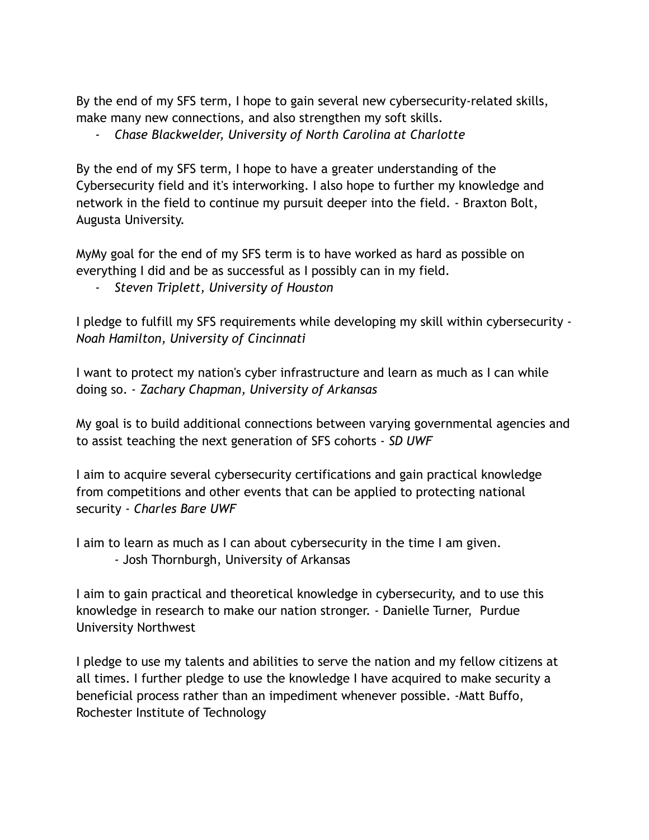By the end of my SFS term, I hope to gain several new cybersecurity-related skills, make many new connections, and also strengthen my soft skills.

*- Chase Blackwelder, University of North Carolina at Charlotte*

By the end of my SFS term, I hope to have a greater understanding of the Cybersecurity field and it's interworking. I also hope to further my knowledge and network in the field to continue my pursuit deeper into the field. - Braxton Bolt, Augusta University.

MyMy goal for the end of my SFS term is to have worked as hard as possible on everything I did and be as successful as I possibly can in my field.

*- Steven Triplett, University of Houston*

I pledge to fulfill my SFS requirements while developing my skill within cybersecurity - *Noah Hamilton, University of Cincinnati*

I want to protect my nation's cyber infrastructure and learn as much as I can while doing so. - *Zachary Chapman, University of Arkansas*

My goal is to build additional connections between varying governmental agencies and to assist teaching the next generation of SFS cohorts - *SD UWF*

I aim to acquire several cybersecurity certifications and gain practical knowledge from competitions and other events that can be applied to protecting national security - *Charles Bare UWF*

I aim to learn as much as I can about cybersecurity in the time I am given. - Josh Thornburgh, University of Arkansas

I aim to gain practical and theoretical knowledge in cybersecurity, and to use this knowledge in research to make our nation stronger. - Danielle Turner, Purdue University Northwest

I pledge to use my talents and abilities to serve the nation and my fellow citizens at all times. I further pledge to use the knowledge I have acquired to make security a beneficial process rather than an impediment whenever possible. -Matt Buffo, Rochester Institute of Technology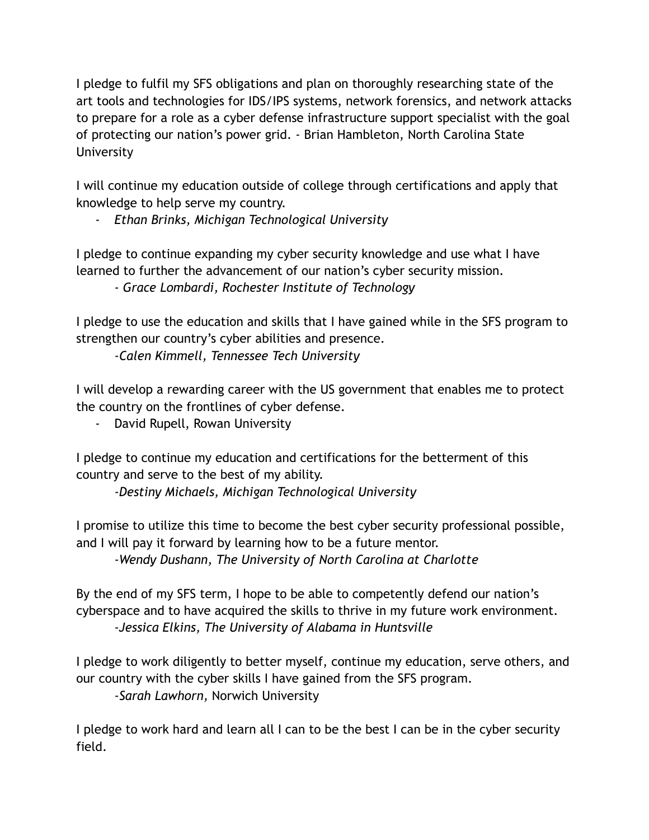I pledge to fulfil my SFS obligations and plan on thoroughly researching state of the art tools and technologies for IDS/IPS systems, network forensics, and network attacks to prepare for a role as a cyber defense infrastructure support specialist with the goal of protecting our nation's power grid. - Brian Hambleton, North Carolina State **University** 

I will continue my education outside of college through certifications and apply that knowledge to help serve my country.

*- Ethan Brinks, Michigan Technological University*

I pledge to continue expanding my cyber security knowledge and use what I have learned to further the advancement of our nation's cyber security mission.

- *Grace Lombardi, Rochester Institute of Technology*

I pledge to use the education and skills that I have gained while in the SFS program to strengthen our country's cyber abilities and presence.

-*Calen Kimmell, Tennessee Tech University*

I will develop a rewarding career with the US government that enables me to protect the country on the frontlines of cyber defense.

- David Rupell, Rowan University

I pledge to continue my education and certifications for the betterment of this country and serve to the best of my ability.

*-Destiny Michaels, Michigan Technological University*

I promise to utilize this time to become the best cyber security professional possible, and I will pay it forward by learning how to be a future mentor.

-*Wendy Dushann, The University of North Carolina at Charlotte*

By the end of my SFS term, I hope to be able to competently defend our nation's cyberspace and to have acquired the skills to thrive in my future work environment. *-Jessica Elkins, The University of Alabama in Huntsville*

I pledge to work diligently to better myself, continue my education, serve others, and our country with the cyber skills I have gained from the SFS program. -*Sarah Lawhorn,* Norwich University

I pledge to work hard and learn all I can to be the best I can be in the cyber security field.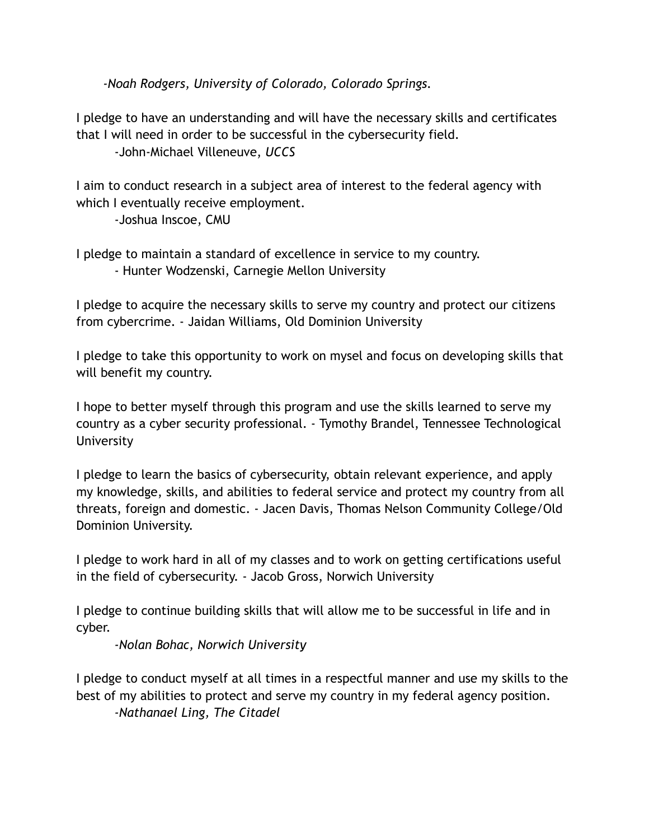*-Noah Rodgers, University of Colorado, Colorado Springs.*

I pledge to have an understanding and will have the necessary skills and certificates that I will need in order to be successful in the cybersecurity field.

-John-Michael Villeneuve, *UCCS*

I aim to conduct research in a subject area of interest to the federal agency with which I eventually receive employment.

-Joshua Inscoe, CMU

I pledge to maintain a standard of excellence in service to my country.

- Hunter Wodzenski, Carnegie Mellon University

I pledge to acquire the necessary skills to serve my country and protect our citizens from cybercrime. - Jaidan Williams, Old Dominion University

I pledge to take this opportunity to work on mysel and focus on developing skills that will benefit my country.

I hope to better myself through this program and use the skills learned to serve my country as a cyber security professional. - Tymothy Brandel, Tennessee Technological **University** 

I pledge to learn the basics of cybersecurity, obtain relevant experience, and apply my knowledge, skills, and abilities to federal service and protect my country from all threats, foreign and domestic. - Jacen Davis, Thomas Nelson Community College/Old Dominion University.

I pledge to work hard in all of my classes and to work on getting certifications useful in the field of cybersecurity. - Jacob Gross, Norwich University

I pledge to continue building skills that will allow me to be successful in life and in cyber.

*-Nolan Bohac, Norwich University*

I pledge to conduct myself at all times in a respectful manner and use my skills to the best of my abilities to protect and serve my country in my federal agency position. *-Nathanael Ling, The Citadel*